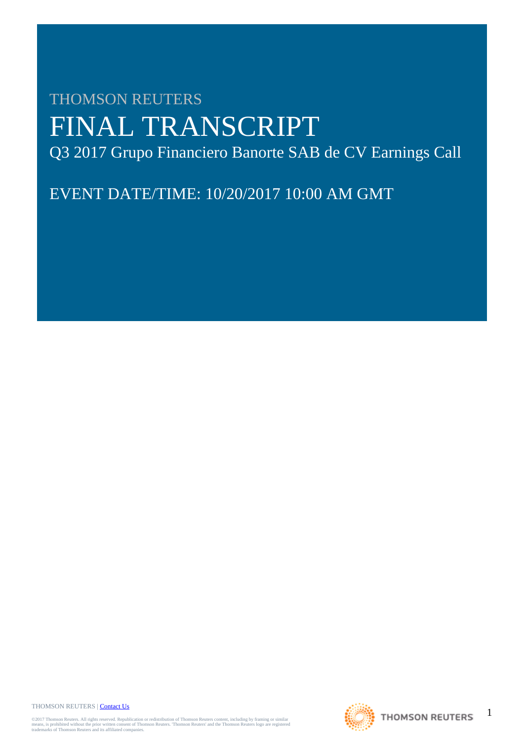# THOMSON REUTERS FINAL TRANSCRIPT Q3 2017 Grupo Financiero Banorte SAB de CV Earnings Call

EVENT DATE/TIME: 10/20/2017 10:00 AM GMT

THOMSON REUTERS | [Contact Us](http://financial.thomsonreuters.com/en/contact-us.html)

©2017 Thomson Reuters. All rights reserved. Republication or redistribution of Thomson Reuters content, including by framing or similar<br>means, is prohibited without the prior written consent of Thomson Reuters. "Thomson Re

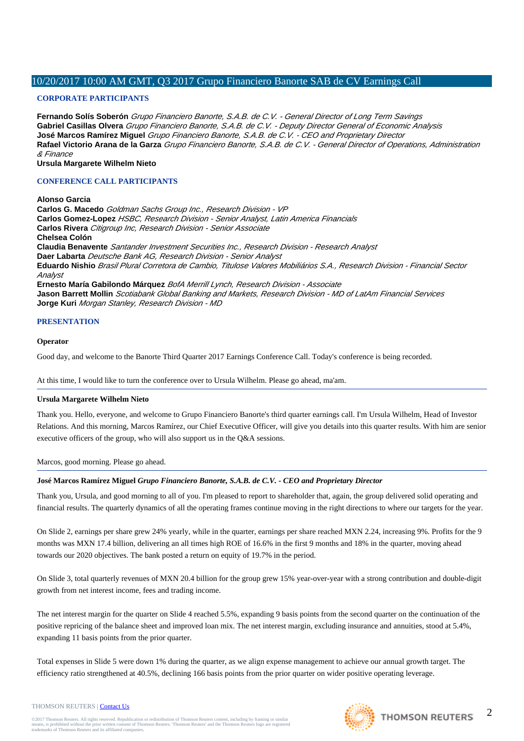# **CORPORATE PARTICIPANTS**

**Fernando Solís Soberón** Grupo Financiero Banorte, S.A.B. de C.V. - General Director of Long Term Savings **Gabriel Casillas Olvera** Grupo Financiero Banorte, S.A.B. de C.V. - Deputy Director General of Economic Analysis **José Marcos Ramírez Miguel** Grupo Financiero Banorte, S.A.B. de C.V. - CEO and Proprietary Director **Rafael Victorio Arana de la Garza** Grupo Financiero Banorte, S.A.B. de C.V. - General Director of Operations, Administration & Finance

**Ursula Margarete Wilhelm Nieto**

# **CONFERENCE CALL PARTICIPANTS**

## **Alonso Garcia**

**Carlos G. Macedo** Goldman Sachs Group Inc., Research Division - VP **Carlos Gomez-Lopez** HSBC, Research Division - Senior Analyst, Latin America Financials **Carlos Rivera** Citigroup Inc, Research Division - Senior Associate **Chelsea Colón Claudia Benavente** Santander Investment Securities Inc., Research Division - Research Analyst **Daer Labarta** Deutsche Bank AG, Research Division - Senior Analyst **Eduardo Nishio** Brasil Plural Corretora de Cambio, Titulose Valores Mobiliários S.A., Research Division - Financial Sector Analyst **Ernesto María Gabilondo Márquez** BofA Merrill Lynch, Research Division - Associate **Jason Barrett Mollin** Scotiabank Global Banking and Markets, Research Division - MD of LatAm Financial Services **Jorge Kuri** Morgan Stanley, Research Division - MD

## **PRESENTATION**

## **Operator**

Good day, and welcome to the Banorte Third Quarter 2017 Earnings Conference Call. Today's conference is being recorded.

At this time, I would like to turn the conference over to Ursula Wilhelm. Please go ahead, ma'am.

#### **Ursula Margarete Wilhelm Nieto**

Thank you. Hello, everyone, and welcome to Grupo Financiero Banorte's third quarter earnings call. I'm Ursula Wilhelm, Head of Investor Relations. And this morning, Marcos Ramírez, our Chief Executive Officer, will give you details into this quarter results. With him are senior executive officers of the group, who will also support us in the Q&A sessions.

Marcos, good morning. Please go ahead.

# **José Marcos Ramírez Miguel** *Grupo Financiero Banorte, S.A.B. de C.V. - CEO and Proprietary Director*

Thank you, Ursula, and good morning to all of you. I'm pleased to report to shareholder that, again, the group delivered solid operating and financial results. The quarterly dynamics of all the operating frames continue moving in the right directions to where our targets for the year.

On Slide 2, earnings per share grew 24% yearly, while in the quarter, earnings per share reached MXN 2.24, increasing 9%. Profits for the 9 months was MXN 17.4 billion, delivering an all times high ROE of 16.6% in the first 9 months and 18% in the quarter, moving ahead towards our 2020 objectives. The bank posted a return on equity of 19.7% in the period.

On Slide 3, total quarterly revenues of MXN 20.4 billion for the group grew 15% year-over-year with a strong contribution and double-digit growth from net interest income, fees and trading income.

The net interest margin for the quarter on Slide 4 reached 5.5%, expanding 9 basis points from the second quarter on the continuation of the positive repricing of the balance sheet and improved loan mix. The net interest margin, excluding insurance and annuities, stood at 5.4%, expanding 11 basis points from the prior quarter.

Total expenses in Slide 5 were down 1% during the quarter, as we align expense management to achieve our annual growth target. The efficiency ratio strengthened at 40.5%, declining 166 basis points from the prior quarter on wider positive operating leverage.

THOMSON REUTERS | [Contact Us](http://financial.thomsonreuters.com/en/contact-us.html)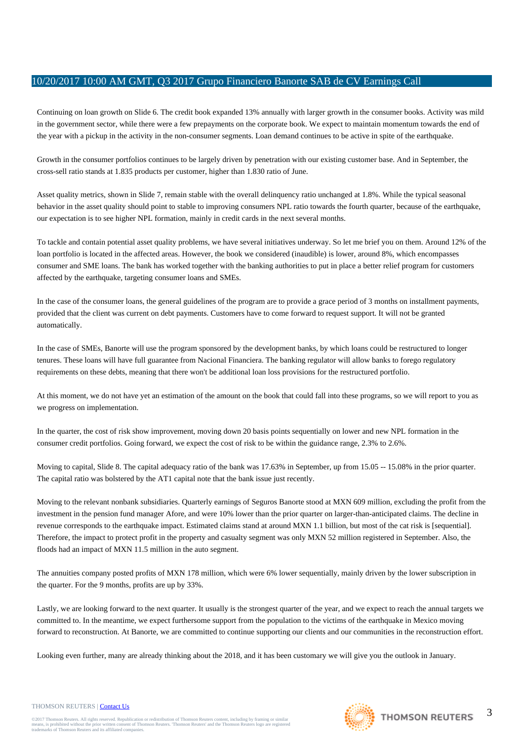Continuing on loan growth on Slide 6. The credit book expanded 13% annually with larger growth in the consumer books. Activity was mild in the government sector, while there were a few prepayments on the corporate book. We expect to maintain momentum towards the end of the year with a pickup in the activity in the non-consumer segments. Loan demand continues to be active in spite of the earthquake.

Growth in the consumer portfolios continues to be largely driven by penetration with our existing customer base. And in September, the cross-sell ratio stands at 1.835 products per customer, higher than 1.830 ratio of June.

Asset quality metrics, shown in Slide 7, remain stable with the overall delinquency ratio unchanged at 1.8%. While the typical seasonal behavior in the asset quality should point to stable to improving consumers NPL ratio towards the fourth quarter, because of the earthquake, our expectation is to see higher NPL formation, mainly in credit cards in the next several months.

To tackle and contain potential asset quality problems, we have several initiatives underway. So let me brief you on them. Around 12% of the loan portfolio is located in the affected areas. However, the book we considered (inaudible) is lower, around 8%, which encompasses consumer and SME loans. The bank has worked together with the banking authorities to put in place a better relief program for customers affected by the earthquake, targeting consumer loans and SMEs.

In the case of the consumer loans, the general guidelines of the program are to provide a grace period of 3 months on installment payments, provided that the client was current on debt payments. Customers have to come forward to request support. It will not be granted automatically.

In the case of SMEs, Banorte will use the program sponsored by the development banks, by which loans could be restructured to longer tenures. These loans will have full guarantee from Nacional Financiera. The banking regulator will allow banks to forego regulatory requirements on these debts, meaning that there won't be additional loan loss provisions for the restructured portfolio.

At this moment, we do not have yet an estimation of the amount on the book that could fall into these programs, so we will report to you as we progress on implementation.

In the quarter, the cost of risk show improvement, moving down 20 basis points sequentially on lower and new NPL formation in the consumer credit portfolios. Going forward, we expect the cost of risk to be within the guidance range, 2.3% to 2.6%.

Moving to capital, Slide 8. The capital adequacy ratio of the bank was 17.63% in September, up from 15.05 -- 15.08% in the prior quarter. The capital ratio was bolstered by the AT1 capital note that the bank issue just recently.

Moving to the relevant nonbank subsidiaries. Quarterly earnings of Seguros Banorte stood at MXN 609 million, excluding the profit from the investment in the pension fund manager Afore, and were 10% lower than the prior quarter on larger-than-anticipated claims. The decline in revenue corresponds to the earthquake impact. Estimated claims stand at around MXN 1.1 billion, but most of the cat risk is [sequential]. Therefore, the impact to protect profit in the property and casualty segment was only MXN 52 million registered in September. Also, the floods had an impact of MXN 11.5 million in the auto segment.

The annuities company posted profits of MXN 178 million, which were 6% lower sequentially, mainly driven by the lower subscription in the quarter. For the 9 months, profits are up by 33%.

Lastly, we are looking forward to the next quarter. It usually is the strongest quarter of the year, and we expect to reach the annual targets we committed to. In the meantime, we expect furthersome support from the population to the victims of the earthquake in Mexico moving forward to reconstruction. At Banorte, we are committed to continue supporting our clients and our communities in the reconstruction effort.

Looking even further, many are already thinking about the 2018, and it has been customary we will give you the outlook in January.



## THOMSON REUTERS | [Contact Us](http://financial.thomsonreuters.com/en/contact-us.html)

THOMSON REUTERS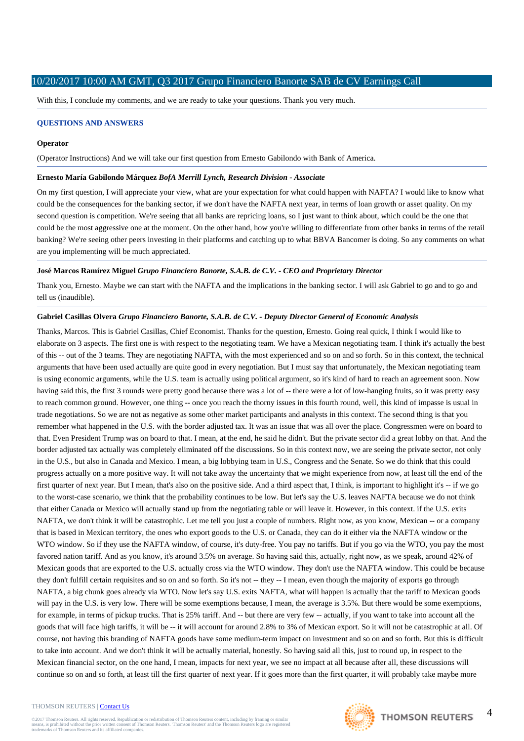With this, I conclude my comments, and we are ready to take your questions. Thank you very much.

## **QUESTIONS AND ANSWERS**

#### **Operator**

(Operator Instructions) And we will take our first question from Ernesto Gabilondo with Bank of America.

#### **Ernesto María Gabilondo Márquez** *BofA Merrill Lynch, Research Division - Associate*

On my first question, I will appreciate your view, what are your expectation for what could happen with NAFTA? I would like to know what could be the consequences for the banking sector, if we don't have the NAFTA next year, in terms of loan growth or asset quality. On my second question is competition. We're seeing that all banks are repricing loans, so I just want to think about, which could be the one that could be the most aggressive one at the moment. On the other hand, how you're willing to differentiate from other banks in terms of the retail banking? We're seeing other peers investing in their platforms and catching up to what BBVA Bancomer is doing. So any comments on what are you implementing will be much appreciated.

#### **José Marcos Ramírez Miguel** *Grupo Financiero Banorte, S.A.B. de C.V. - CEO and Proprietary Director*

Thank you, Ernesto. Maybe we can start with the NAFTA and the implications in the banking sector. I will ask Gabriel to go and to go and tell us (inaudible).

## **Gabriel Casillas Olvera** *Grupo Financiero Banorte, S.A.B. de C.V. - Deputy Director General of Economic Analysis*

Thanks, Marcos. This is Gabriel Casillas, Chief Economist. Thanks for the question, Ernesto. Going real quick, I think I would like to elaborate on 3 aspects. The first one is with respect to the negotiating team. We have a Mexican negotiating team. I think it's actually the best of this -- out of the 3 teams. They are negotiating NAFTA, with the most experienced and so on and so forth. So in this context, the technical arguments that have been used actually are quite good in every negotiation. But I must say that unfortunately, the Mexican negotiating team is using economic arguments, while the U.S. team is actually using political argument, so it's kind of hard to reach an agreement soon. Now having said this, the first 3 rounds were pretty good because there was a lot of -- there were a lot of low-hanging fruits, so it was pretty easy to reach common ground. However, one thing -- once you reach the thorny issues in this fourth round, well, this kind of impasse is usual in trade negotiations. So we are not as negative as some other market participants and analysts in this context. The second thing is that you remember what happened in the U.S. with the border adjusted tax. It was an issue that was all over the place. Congressmen were on board to that. Even President Trump was on board to that. I mean, at the end, he said he didn't. But the private sector did a great lobby on that. And the border adjusted tax actually was completely eliminated off the discussions. So in this context now, we are seeing the private sector, not only in the U.S., but also in Canada and Mexico. I mean, a big lobbying team in U.S., Congress and the Senate. So we do think that this could progress actually on a more positive way. It will not take away the uncertainty that we might experience from now, at least till the end of the first quarter of next year. But I mean, that's also on the positive side. And a third aspect that, I think, is important to highlight it's -- if we go to the worst-case scenario, we think that the probability continues to be low. But let's say the U.S. leaves NAFTA because we do not think that either Canada or Mexico will actually stand up from the negotiating table or will leave it. However, in this context. if the U.S. exits NAFTA, we don't think it will be catastrophic. Let me tell you just a couple of numbers. Right now, as you know, Mexican -- or a company that is based in Mexican territory, the ones who export goods to the U.S. or Canada, they can do it either via the NAFTA window or the WTO window. So if they use the NAFTA window, of course, it's duty-free. You pay no tariffs. But if you go via the WTO, you pay the most favored nation tariff. And as you know, it's around 3.5% on average. So having said this, actually, right now, as we speak, around 42% of Mexican goods that are exported to the U.S. actually cross via the WTO window. They don't use the NAFTA window. This could be because they don't fulfill certain requisites and so on and so forth. So it's not -- they -- I mean, even though the majority of exports go through NAFTA, a big chunk goes already via WTO. Now let's say U.S. exits NAFTA, what will happen is actually that the tariff to Mexican goods will pay in the U.S. is very low. There will be some exemptions because, I mean, the average is 3.5%. But there would be some exemptions, for example, in terms of pickup trucks. That is 25% tariff. And -- but there are very few -- actually, if you want to take into account all the goods that will face high tariffs, it will be -- it will account for around 2.8% to 3% of Mexican export. So it will not be catastrophic at all. Of course, not having this branding of NAFTA goods have some medium-term impact on investment and so on and so forth. But this is difficult to take into account. And we don't think it will be actually material, honestly. So having said all this, just to round up, in respect to the Mexican financial sector, on the one hand, I mean, impacts for next year, we see no impact at all because after all, these discussions will continue so on and so forth, at least till the first quarter of next year. If it goes more than the first quarter, it will probably take maybe more

#### THOMSON REUTERS | [Contact Us](http://financial.thomsonreuters.com/en/contact-us.html)

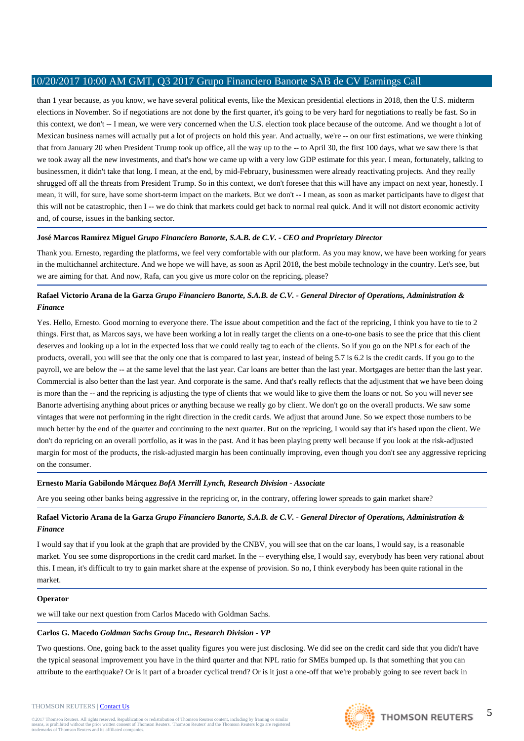than 1 year because, as you know, we have several political events, like the Mexican presidential elections in 2018, then the U.S. midterm elections in November. So if negotiations are not done by the first quarter, it's going to be very hard for negotiations to really be fast. So in this context, we don't -- I mean, we were very concerned when the U.S. election took place because of the outcome. And we thought a lot of Mexican business names will actually put a lot of projects on hold this year. And actually, we're -- on our first estimations, we were thinking that from January 20 when President Trump took up office, all the way up to the -- to April 30, the first 100 days, what we saw there is that we took away all the new investments, and that's how we came up with a very low GDP estimate for this year. I mean, fortunately, talking to businessmen, it didn't take that long. I mean, at the end, by mid-February, businessmen were already reactivating projects. And they really shrugged off all the threats from President Trump. So in this context, we don't foresee that this will have any impact on next year, honestly. I mean, it will, for sure, have some short-term impact on the markets. But we don't -- I mean, as soon as market participants have to digest that this will not be catastrophic, then I -- we do think that markets could get back to normal real quick. And it will not distort economic activity and, of course, issues in the banking sector.

# **José Marcos Ramírez Miguel** *Grupo Financiero Banorte, S.A.B. de C.V. - CEO and Proprietary Director*

Thank you. Ernesto, regarding the platforms, we feel very comfortable with our platform. As you may know, we have been working for years in the multichannel architecture. And we hope we will have, as soon as April 2018, the best mobile technology in the country. Let's see, but we are aiming for that. And now, Rafa, can you give us more color on the repricing, please?

# **Rafael Victorio Arana de la Garza** *Grupo Financiero Banorte, S.A.B. de C.V. - General Director of Operations, Administration & Finance*

Yes. Hello, Ernesto. Good morning to everyone there. The issue about competition and the fact of the repricing, I think you have to tie to 2 things. First that, as Marcos says, we have been working a lot in really target the clients on a one-to-one basis to see the price that this client deserves and looking up a lot in the expected loss that we could really tag to each of the clients. So if you go on the NPLs for each of the products, overall, you will see that the only one that is compared to last year, instead of being 5.7 is 6.2 is the credit cards. If you go to the payroll, we are below the -- at the same level that the last year. Car loans are better than the last year. Mortgages are better than the last year. Commercial is also better than the last year. And corporate is the same. And that's really reflects that the adjustment that we have been doing is more than the -- and the repricing is adjusting the type of clients that we would like to give them the loans or not. So you will never see Banorte advertising anything about prices or anything because we really go by client. We don't go on the overall products. We saw some vintages that were not performing in the right direction in the credit cards. We adjust that around June. So we expect those numbers to be much better by the end of the quarter and continuing to the next quarter. But on the repricing, I would say that it's based upon the client. We don't do repricing on an overall portfolio, as it was in the past. And it has been playing pretty well because if you look at the risk-adjusted margin for most of the products, the risk-adjusted margin has been continually improving, even though you don't see any aggressive repricing on the consumer.

# **Ernesto María Gabilondo Márquez** *BofA Merrill Lynch, Research Division - Associate*

Are you seeing other banks being aggressive in the repricing or, in the contrary, offering lower spreads to gain market share?

# **Rafael Victorio Arana de la Garza** *Grupo Financiero Banorte, S.A.B. de C.V. - General Director of Operations, Administration & Finance*

I would say that if you look at the graph that are provided by the CNBV, you will see that on the car loans, I would say, is a reasonable market. You see some disproportions in the credit card market. In the -- everything else, I would say, everybody has been very rational about this. I mean, it's difficult to try to gain market share at the expense of provision. So no, I think everybody has been quite rational in the market.

# **Operator**

we will take our next question from Carlos Macedo with Goldman Sachs.

# **Carlos G. Macedo** *Goldman Sachs Group Inc., Research Division - VP*

Two questions. One, going back to the asset quality figures you were just disclosing. We did see on the credit card side that you didn't have the typical seasonal improvement you have in the third quarter and that NPL ratio for SMEs bumped up. Is that something that you can attribute to the earthquake? Or is it part of a broader cyclical trend? Or is it just a one-off that we're probably going to see revert back in

@2017 Thomson Reuters. All rights reserved. Republication or redistribution of Thomson Reuters content, including by framing or similar<br>means, is prohibited without the prior written consent of Thomson Reuters. 'Thomson Re means, is prohibited without the prior written consent trademarks of Thomson Reuters and its affiliated comp

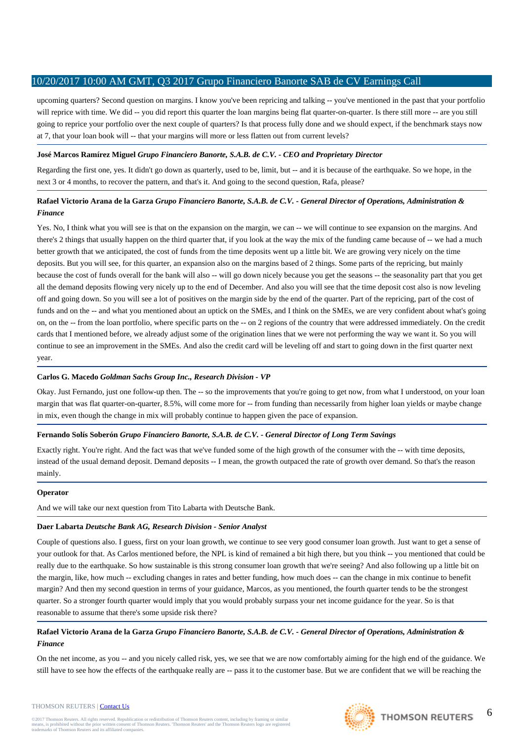upcoming quarters? Second question on margins. I know you've been repricing and talking -- you've mentioned in the past that your portfolio will reprice with time. We did -- you did report this quarter the loan margins being flat quarter-on-quarter. Is there still more -- are you still going to reprice your portfolio over the next couple of quarters? Is that process fully done and we should expect, if the benchmark stays now at 7, that your loan book will -- that your margins will more or less flatten out from current levels?

# **José Marcos Ramírez Miguel** *Grupo Financiero Banorte, S.A.B. de C.V. - CEO and Proprietary Director*

Regarding the first one, yes. It didn't go down as quarterly, used to be, limit, but -- and it is because of the earthquake. So we hope, in the next 3 or 4 months, to recover the pattern, and that's it. And going to the second question, Rafa, please?

# **Rafael Victorio Arana de la Garza** *Grupo Financiero Banorte, S.A.B. de C.V. - General Director of Operations, Administration & Finance*

Yes. No, I think what you will see is that on the expansion on the margin, we can -- we will continue to see expansion on the margins. And there's 2 things that usually happen on the third quarter that, if you look at the way the mix of the funding came because of -- we had a much better growth that we anticipated, the cost of funds from the time deposits went up a little bit. We are growing very nicely on the time deposits. But you will see, for this quarter, an expansion also on the margins based of 2 things. Some parts of the repricing, but mainly because the cost of funds overall for the bank will also -- will go down nicely because you get the seasons -- the seasonality part that you get all the demand deposits flowing very nicely up to the end of December. And also you will see that the time deposit cost also is now leveling off and going down. So you will see a lot of positives on the margin side by the end of the quarter. Part of the repricing, part of the cost of funds and on the -- and what you mentioned about an uptick on the SMEs, and I think on the SMEs, we are very confident about what's going on, on the -- from the loan portfolio, where specific parts on the -- on 2 regions of the country that were addressed immediately. On the credit cards that I mentioned before, we already adjust some of the origination lines that we were not performing the way we want it. So you will continue to see an improvement in the SMEs. And also the credit card will be leveling off and start to going down in the first quarter next year.

# **Carlos G. Macedo** *Goldman Sachs Group Inc., Research Division - VP*

Okay. Just Fernando, just one follow-up then. The -- so the improvements that you're going to get now, from what I understood, on your loan margin that was flat quarter-on-quarter, 8.5%, will come more for -- from funding than necessarily from higher loan yields or maybe change in mix, even though the change in mix will probably continue to happen given the pace of expansion.

# **Fernando Solís Soberón** *Grupo Financiero Banorte, S.A.B. de C.V. - General Director of Long Term Savings*

Exactly right. You're right. And the fact was that we've funded some of the high growth of the consumer with the -- with time deposits, instead of the usual demand deposit. Demand deposits -- I mean, the growth outpaced the rate of growth over demand. So that's the reason mainly.

# **Operator**

And we will take our next question from Tito Labarta with Deutsche Bank.

# **Daer Labarta** *Deutsche Bank AG, Research Division - Senior Analyst*

Couple of questions also. I guess, first on your loan growth, we continue to see very good consumer loan growth. Just want to get a sense of your outlook for that. As Carlos mentioned before, the NPL is kind of remained a bit high there, but you think -- you mentioned that could be really due to the earthquake. So how sustainable is this strong consumer loan growth that we're seeing? And also following up a little bit on the margin, like, how much -- excluding changes in rates and better funding, how much does -- can the change in mix continue to benefit margin? And then my second question in terms of your guidance, Marcos, as you mentioned, the fourth quarter tends to be the strongest quarter. So a stronger fourth quarter would imply that you would probably surpass your net income guidance for the year. So is that reasonable to assume that there's some upside risk there?

# **Rafael Victorio Arana de la Garza** *Grupo Financiero Banorte, S.A.B. de C.V. - General Director of Operations, Administration & Finance*

On the net income, as you -- and you nicely called risk, yes, we see that we are now comfortably aiming for the high end of the guidance. We still have to see how the effects of the earthquake really are -- pass it to the customer base. But we are confident that we will be reaching the

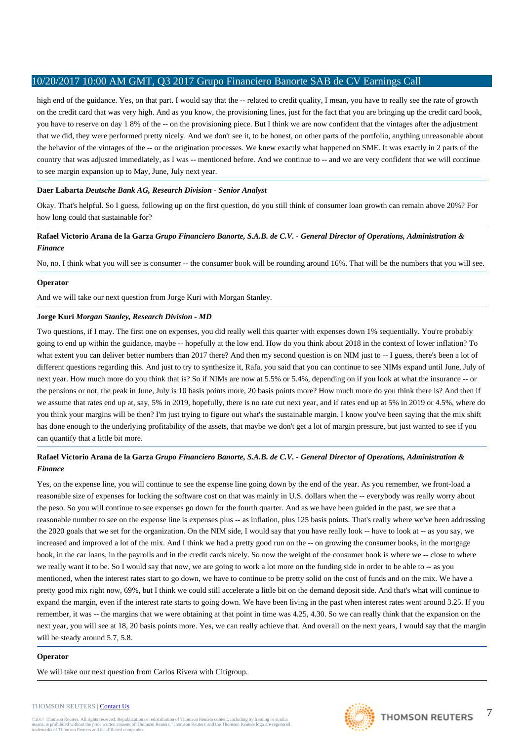high end of the guidance. Yes, on that part. I would say that the -- related to credit quality, I mean, you have to really see the rate of growth on the credit card that was very high. And as you know, the provisioning lines, just for the fact that you are bringing up the credit card book, you have to reserve on day 1 8% of the -- on the provisioning piece. But I think we are now confident that the vintages after the adjustment that we did, they were performed pretty nicely. And we don't see it, to be honest, on other parts of the portfolio, anything unreasonable about the behavior of the vintages of the -- or the origination processes. We knew exactly what happened on SME. It was exactly in 2 parts of the country that was adjusted immediately, as I was -- mentioned before. And we continue to -- and we are very confident that we will continue to see margin expansion up to May, June, July next year.

# **Daer Labarta** *Deutsche Bank AG, Research Division - Senior Analyst*

Okay. That's helpful. So I guess, following up on the first question, do you still think of consumer loan growth can remain above 20%? For how long could that sustainable for?

# **Rafael Victorio Arana de la Garza** *Grupo Financiero Banorte, S.A.B. de C.V. - General Director of Operations, Administration & Finance*

No, no. I think what you will see is consumer -- the consumer book will be rounding around 16%. That will be the numbers that you will see.

# **Operator**

And we will take our next question from Jorge Kuri with Morgan Stanley.

# **Jorge Kuri** *Morgan Stanley, Research Division - MD*

Two questions, if I may. The first one on expenses, you did really well this quarter with expenses down 1% sequentially. You're probably going to end up within the guidance, maybe -- hopefully at the low end. How do you think about 2018 in the context of lower inflation? To what extent you can deliver better numbers than 2017 there? And then my second question is on NIM just to -- I guess, there's been a lot of different questions regarding this. And just to try to synthesize it, Rafa, you said that you can continue to see NIMs expand until June, July of next year. How much more do you think that is? So if NIMs are now at 5.5% or 5.4%, depending on if you look at what the insurance -- or the pensions or not, the peak in June, July is 10 basis points more, 20 basis points more? How much more do you think there is? And then if we assume that rates end up at, say, 5% in 2019, hopefully, there is no rate cut next year, and if rates end up at 5% in 2019 or 4.5%, where do you think your margins will be then? I'm just trying to figure out what's the sustainable margin. I know you've been saying that the mix shift has done enough to the underlying profitability of the assets, that maybe we don't get a lot of margin pressure, but just wanted to see if you can quantify that a little bit more.

# **Rafael Victorio Arana de la Garza** *Grupo Financiero Banorte, S.A.B. de C.V. - General Director of Operations, Administration & Finance*

Yes, on the expense line, you will continue to see the expense line going down by the end of the year. As you remember, we front-load a reasonable size of expenses for locking the software cost on that was mainly in U.S. dollars when the -- everybody was really worry about the peso. So you will continue to see expenses go down for the fourth quarter. And as we have been guided in the past, we see that a reasonable number to see on the expense line is expenses plus -- as inflation, plus 125 basis points. That's really where we've been addressing the 2020 goals that we set for the organization. On the NIM side, I would say that you have really look -- have to look at -- as you say, we increased and improved a lot of the mix. And I think we had a pretty good run on the -- on growing the consumer books, in the mortgage book, in the car loans, in the payrolls and in the credit cards nicely. So now the weight of the consumer book is where we -- close to where we really want it to be. So I would say that now, we are going to work a lot more on the funding side in order to be able to -- as you mentioned, when the interest rates start to go down, we have to continue to be pretty solid on the cost of funds and on the mix. We have a pretty good mix right now, 69%, but I think we could still accelerate a little bit on the demand deposit side. And that's what will continue to expand the margin, even if the interest rate starts to going down. We have been living in the past when interest rates went around 3.25. If you remember, it was -- the margins that we were obtaining at that point in time was 4.25, 4.30. So we can really think that the expansion on the next year, you will see at 18, 20 basis points more. Yes, we can really achieve that. And overall on the next years, I would say that the margin will be steady around 5.7, 5.8.

#### **Operator**

We will take our next question from Carlos Rivera with Citigroup.

#### THOMSON REUTERS | [Contact Us](http://financial.thomsonreuters.com/en/contact-us.html)

@2017 Thomson Reuters. All rights reserved. Republication or redistribution of Thomson Reuters content, including by framing or similar<br>means, is prohibited without the prior written consent of Thomson Reuters. 'Thomson Re means, is prohibited without the prior written consent trademarks of Thomson Reuters and its affiliated comp

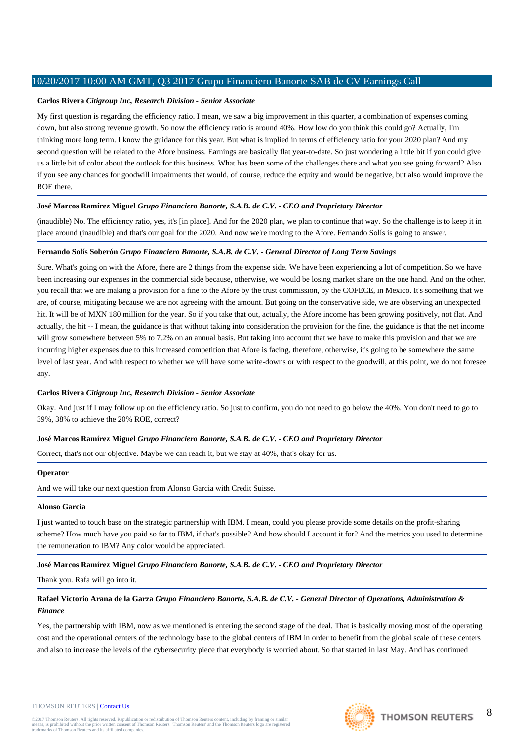## **Carlos Rivera** *Citigroup Inc, Research Division - Senior Associate*

My first question is regarding the efficiency ratio. I mean, we saw a big improvement in this quarter, a combination of expenses coming down, but also strong revenue growth. So now the efficiency ratio is around 40%. How low do you think this could go? Actually, I'm thinking more long term. I know the guidance for this year. But what is implied in terms of efficiency ratio for your 2020 plan? And my second question will be related to the Afore business. Earnings are basically flat year-to-date. So just wondering a little bit if you could give us a little bit of color about the outlook for this business. What has been some of the challenges there and what you see going forward? Also if you see any chances for goodwill impairments that would, of course, reduce the equity and would be negative, but also would improve the ROE there.

# **José Marcos Ramírez Miguel** *Grupo Financiero Banorte, S.A.B. de C.V. - CEO and Proprietary Director*

(inaudible) No. The efficiency ratio, yes, it's [in place]. And for the 2020 plan, we plan to continue that way. So the challenge is to keep it in place around (inaudible) and that's our goal for the 2020. And now we're moving to the Afore. Fernando Solís is going to answer.

#### **Fernando Solís Soberón** *Grupo Financiero Banorte, S.A.B. de C.V. - General Director of Long Term Savings*

Sure. What's going on with the Afore, there are 2 things from the expense side. We have been experiencing a lot of competition. So we have been increasing our expenses in the commercial side because, otherwise, we would be losing market share on the one hand. And on the other, you recall that we are making a provision for a fine to the Afore by the trust commission, by the COFECE, in Mexico. It's something that we are, of course, mitigating because we are not agreeing with the amount. But going on the conservative side, we are observing an unexpected hit. It will be of MXN 180 million for the year. So if you take that out, actually, the Afore income has been growing positively, not flat. And actually, the hit -- I mean, the guidance is that without taking into consideration the provision for the fine, the guidance is that the net income will grow somewhere between 5% to 7.2% on an annual basis. But taking into account that we have to make this provision and that we are incurring higher expenses due to this increased competition that Afore is facing, therefore, otherwise, it's going to be somewhere the same level of last year. And with respect to whether we will have some write-downs or with respect to the goodwill, at this point, we do not foresee any.

#### **Carlos Rivera** *Citigroup Inc, Research Division - Senior Associate*

Okay. And just if I may follow up on the efficiency ratio. So just to confirm, you do not need to go below the 40%. You don't need to go to 39%, 38% to achieve the 20% ROE, correct?

## **José Marcos Ramírez Miguel** *Grupo Financiero Banorte, S.A.B. de C.V. - CEO and Proprietary Director*

Correct, that's not our objective. Maybe we can reach it, but we stay at 40%, that's okay for us.

#### **Operator**

And we will take our next question from Alonso Garcia with Credit Suisse.

#### **Alonso Garcia**

I just wanted to touch base on the strategic partnership with IBM. I mean, could you please provide some details on the profit-sharing scheme? How much have you paid so far to IBM, if that's possible? And how should I account it for? And the metrics you used to determine the remuneration to IBM? Any color would be appreciated.

#### **José Marcos Ramírez Miguel** *Grupo Financiero Banorte, S.A.B. de C.V. - CEO and Proprietary Director*

Thank you. Rafa will go into it.

# **Rafael Victorio Arana de la Garza** *Grupo Financiero Banorte, S.A.B. de C.V. - General Director of Operations, Administration & Finance*

Yes, the partnership with IBM, now as we mentioned is entering the second stage of the deal. That is basically moving most of the operating cost and the operational centers of the technology base to the global centers of IBM in order to benefit from the global scale of these centers and also to increase the levels of the cybersecurity piece that everybody is worried about. So that started in last May. And has continued

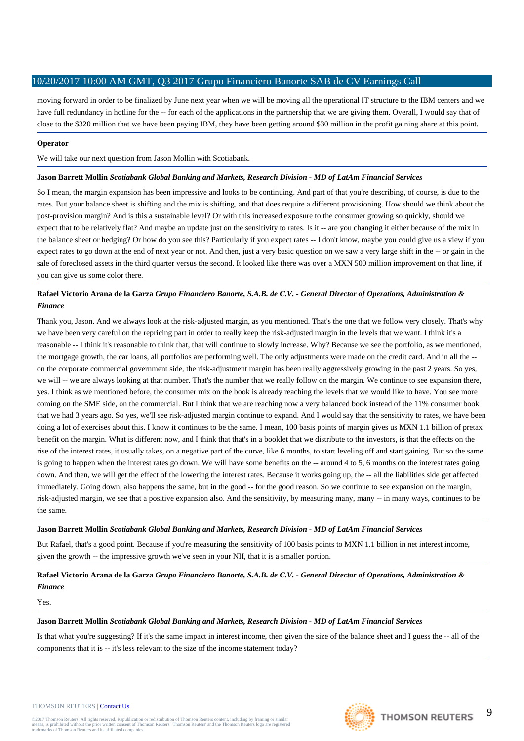moving forward in order to be finalized by June next year when we will be moving all the operational IT structure to the IBM centers and we have full redundancy in hotline for the -- for each of the applications in the partnership that we are giving them. Overall, I would say that of close to the \$320 million that we have been paying IBM, they have been getting around \$30 million in the profit gaining share at this point.

# **Operator**

We will take our next question from Jason Mollin with Scotiabank.

## **Jason Barrett Mollin** *Scotiabank Global Banking and Markets, Research Division - MD of LatAm Financial Services*

So I mean, the margin expansion has been impressive and looks to be continuing. And part of that you're describing, of course, is due to the rates. But your balance sheet is shifting and the mix is shifting, and that does require a different provisioning. How should we think about the post-provision margin? And is this a sustainable level? Or with this increased exposure to the consumer growing so quickly, should we expect that to be relatively flat? And maybe an update just on the sensitivity to rates. Is it -- are you changing it either because of the mix in the balance sheet or hedging? Or how do you see this? Particularly if you expect rates -- I don't know, maybe you could give us a view if you expect rates to go down at the end of next year or not. And then, just a very basic question on we saw a very large shift in the -- or gain in the sale of foreclosed assets in the third quarter versus the second. It looked like there was over a MXN 500 million improvement on that line, if you can give us some color there.

# **Rafael Victorio Arana de la Garza** *Grupo Financiero Banorte, S.A.B. de C.V. - General Director of Operations, Administration & Finance*

Thank you, Jason. And we always look at the risk-adjusted margin, as you mentioned. That's the one that we follow very closely. That's why we have been very careful on the repricing part in order to really keep the risk-adjusted margin in the levels that we want. I think it's a reasonable -- I think it's reasonable to think that, that will continue to slowly increase. Why? Because we see the portfolio, as we mentioned, the mortgage growth, the car loans, all portfolios are performing well. The only adjustments were made on the credit card. And in all the - on the corporate commercial government side, the risk-adjustment margin has been really aggressively growing in the past 2 years. So yes, we will -- we are always looking at that number. That's the number that we really follow on the margin. We continue to see expansion there, yes. I think as we mentioned before, the consumer mix on the book is already reaching the levels that we would like to have. You see more coming on the SME side, on the commercial. But I think that we are reaching now a very balanced book instead of the 11% consumer book that we had 3 years ago. So yes, we'll see risk-adjusted margin continue to expand. And I would say that the sensitivity to rates, we have been doing a lot of exercises about this. I know it continues to be the same. I mean, 100 basis points of margin gives us MXN 1.1 billion of pretax benefit on the margin. What is different now, and I think that that's in a booklet that we distribute to the investors, is that the effects on the rise of the interest rates, it usually takes, on a negative part of the curve, like 6 months, to start leveling off and start gaining. But so the same is going to happen when the interest rates go down. We will have some benefits on the -- around 4 to 5, 6 months on the interest rates going down. And then, we will get the effect of the lowering the interest rates. Because it works going up, the -- all the liabilities side get affected immediately. Going down, also happens the same, but in the good -- for the good reason. So we continue to see expansion on the margin, risk-adjusted margin, we see that a positive expansion also. And the sensitivity, by measuring many, many -- in many ways, continues to be the same.

#### **Jason Barrett Mollin** *Scotiabank Global Banking and Markets, Research Division - MD of LatAm Financial Services*

But Rafael, that's a good point. Because if you're measuring the sensitivity of 100 basis points to MXN 1.1 billion in net interest income, given the growth -- the impressive growth we've seen in your NII, that it is a smaller portion.

**Rafael Victorio Arana de la Garza** *Grupo Financiero Banorte, S.A.B. de C.V. - General Director of Operations, Administration & Finance*

Yes.

#### **Jason Barrett Mollin** *Scotiabank Global Banking and Markets, Research Division - MD of LatAm Financial Services*

Is that what you're suggesting? If it's the same impact in interest income, then given the size of the balance sheet and I guess the -- all of the components that it is -- it's less relevant to the size of the income statement today?

#### THOMSON REUTERS | [Contact Us](http://financial.thomsonreuters.com/en/contact-us.html)

@2017 Thomson Reuters. All rights reserved. Republication or redistribution of Thomson Reuters content, including by framing or similar<br>means, is prohibited without the prior written consent of Thomson Reuters. 'Thomson Re means, is prohibited without the prior written consent trademarks of Thomson Reuters and its affiliated comp

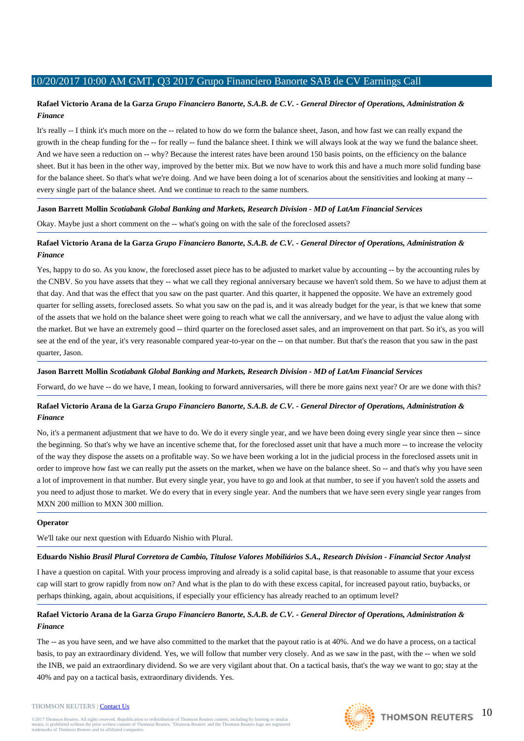# **Rafael Victorio Arana de la Garza** *Grupo Financiero Banorte, S.A.B. de C.V. - General Director of Operations, Administration & Finance*

It's really -- I think it's much more on the -- related to how do we form the balance sheet, Jason, and how fast we can really expand the growth in the cheap funding for the -- for really -- fund the balance sheet. I think we will always look at the way we fund the balance sheet. And we have seen a reduction on -- why? Because the interest rates have been around 150 basis points, on the efficiency on the balance sheet. But it has been in the other way, improved by the better mix. But we now have to work this and have a much more solid funding base for the balance sheet. So that's what we're doing. And we have been doing a lot of scenarios about the sensitivities and looking at many - every single part of the balance sheet. And we continue to reach to the same numbers.

# **Jason Barrett Mollin** *Scotiabank Global Banking and Markets, Research Division - MD of LatAm Financial Services*

Okay. Maybe just a short comment on the -- what's going on with the sale of the foreclosed assets?

# **Rafael Victorio Arana de la Garza** *Grupo Financiero Banorte, S.A.B. de C.V. - General Director of Operations, Administration & Finance*

Yes, happy to do so. As you know, the foreclosed asset piece has to be adjusted to market value by accounting -- by the accounting rules by the CNBV. So you have assets that they -- what we call they regional anniversary because we haven't sold them. So we have to adjust them at that day. And that was the effect that you saw on the past quarter. And this quarter, it happened the opposite. We have an extremely good quarter for selling assets, foreclosed assets. So what you saw on the pad is, and it was already budget for the year, is that we knew that some of the assets that we hold on the balance sheet were going to reach what we call the anniversary, and we have to adjust the value along with the market. But we have an extremely good -- third quarter on the foreclosed asset sales, and an improvement on that part. So it's, as you will see at the end of the year, it's very reasonable compared year-to-year on the -- on that number. But that's the reason that you saw in the past quarter, Jason.

# **Jason Barrett Mollin** *Scotiabank Global Banking and Markets, Research Division - MD of LatAm Financial Services*

Forward, do we have -- do we have, I mean, looking to forward anniversaries, will there be more gains next year? Or are we done with this?

# **Rafael Victorio Arana de la Garza** *Grupo Financiero Banorte, S.A.B. de C.V. - General Director of Operations, Administration & Finance*

No, it's a permanent adjustment that we have to do. We do it every single year, and we have been doing every single year since then -- since the beginning. So that's why we have an incentive scheme that, for the foreclosed asset unit that have a much more -- to increase the velocity of the way they dispose the assets on a profitable way. So we have been working a lot in the judicial process in the foreclosed assets unit in order to improve how fast we can really put the assets on the market, when we have on the balance sheet. So -- and that's why you have seen a lot of improvement in that number. But every single year, you have to go and look at that number, to see if you haven't sold the assets and you need to adjust those to market. We do every that in every single year. And the numbers that we have seen every single year ranges from MXN 200 million to MXN 300 million.

# **Operator**

We'll take our next question with Eduardo Nishio with Plural.

# **Eduardo Nishio** *Brasil Plural Corretora de Cambio, Titulose Valores Mobiliários S.A., Research Division - Financial Sector Analyst*

I have a question on capital. With your process improving and already is a solid capital base, is that reasonable to assume that your excess cap will start to grow rapidly from now on? And what is the plan to do with these excess capital, for increased payout ratio, buybacks, or perhaps thinking, again, about acquisitions, if especially your efficiency has already reached to an optimum level?

# **Rafael Victorio Arana de la Garza** *Grupo Financiero Banorte, S.A.B. de C.V. - General Director of Operations, Administration & Finance*

The -- as you have seen, and we have also committed to the market that the payout ratio is at 40%. And we do have a process, on a tactical basis, to pay an extraordinary dividend. Yes, we will follow that number very closely. And as we saw in the past, with the -- when we sold the INB, we paid an extraordinary dividend. So we are very vigilant about that. On a tactical basis, that's the way we want to go; stay at the 40% and pay on a tactical basis, extraordinary dividends. Yes.

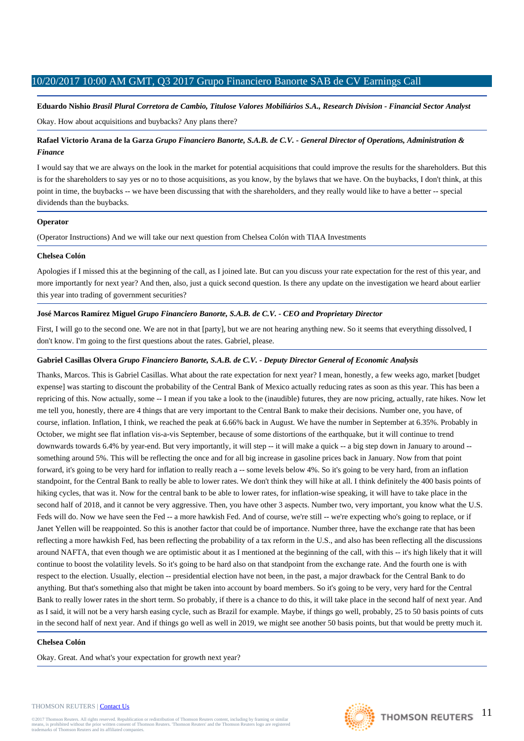**Eduardo Nishio** *Brasil Plural Corretora de Cambio, Titulose Valores Mobiliários S.A., Research Division - Financial Sector Analyst* Okay. How about acquisitions and buybacks? Any plans there?

# **Rafael Victorio Arana de la Garza** *Grupo Financiero Banorte, S.A.B. de C.V. - General Director of Operations, Administration & Finance*

I would say that we are always on the look in the market for potential acquisitions that could improve the results for the shareholders. But this is for the shareholders to say yes or no to those acquisitions, as you know, by the bylaws that we have. On the buybacks, I don't think, at this point in time, the buybacks -- we have been discussing that with the shareholders, and they really would like to have a better -- special dividends than the buybacks.

## **Operator**

(Operator Instructions) And we will take our next question from Chelsea Colón with TIAA Investments

## **Chelsea Colón**

Apologies if I missed this at the beginning of the call, as I joined late. But can you discuss your rate expectation for the rest of this year, and more importantly for next year? And then, also, just a quick second question. Is there any update on the investigation we heard about earlier this year into trading of government securities?

# **José Marcos Ramírez Miguel** *Grupo Financiero Banorte, S.A.B. de C.V. - CEO and Proprietary Director*

First, I will go to the second one. We are not in that [party], but we are not hearing anything new. So it seems that everything dissolved, I don't know. I'm going to the first questions about the rates. Gabriel, please.

## **Gabriel Casillas Olvera** *Grupo Financiero Banorte, S.A.B. de C.V. - Deputy Director General of Economic Analysis*

Thanks, Marcos. This is Gabriel Casillas. What about the rate expectation for next year? I mean, honestly, a few weeks ago, market [budget expense] was starting to discount the probability of the Central Bank of Mexico actually reducing rates as soon as this year. This has been a repricing of this. Now actually, some -- I mean if you take a look to the (inaudible) futures, they are now pricing, actually, rate hikes. Now let me tell you, honestly, there are 4 things that are very important to the Central Bank to make their decisions. Number one, you have, of course, inflation. Inflation, I think, we reached the peak at 6.66% back in August. We have the number in September at 6.35%. Probably in October, we might see flat inflation vis-a-vis September, because of some distortions of the earthquake, but it will continue to trend downwards towards 6.4% by year-end. But very importantly, it will step -- it will make a quick -- a big step down in January to around -something around 5%. This will be reflecting the once and for all big increase in gasoline prices back in January. Now from that point forward, it's going to be very hard for inflation to really reach a -- some levels below 4%. So it's going to be very hard, from an inflation standpoint, for the Central Bank to really be able to lower rates. We don't think they will hike at all. I think definitely the 400 basis points of hiking cycles, that was it. Now for the central bank to be able to lower rates, for inflation-wise speaking, it will have to take place in the second half of 2018, and it cannot be very aggressive. Then, you have other 3 aspects. Number two, very important, you know what the U.S. Feds will do. Now we have seen the Fed -- a more hawkish Fed. And of course, we're still -- we're expecting who's going to replace, or if Janet Yellen will be reappointed. So this is another factor that could be of importance. Number three, have the exchange rate that has been reflecting a more hawkish Fed, has been reflecting the probability of a tax reform in the U.S., and also has been reflecting all the discussions around NAFTA, that even though we are optimistic about it as I mentioned at the beginning of the call, with this -- it's high likely that it will continue to boost the volatility levels. So it's going to be hard also on that standpoint from the exchange rate. And the fourth one is with respect to the election. Usually, election -- presidential election have not been, in the past, a major drawback for the Central Bank to do anything. But that's something also that might be taken into account by board members. So it's going to be very, very hard for the Central Bank to really lower rates in the short term. So probably, if there is a chance to do this, it will take place in the second half of next year. And as I said, it will not be a very harsh easing cycle, such as Brazil for example. Maybe, if things go well, probably, 25 to 50 basis points of cuts in the second half of next year. And if things go well as well in 2019, we might see another 50 basis points, but that would be pretty much it.

# **Chelsea Colón**

Okay. Great. And what's your expectation for growth next year?

#### THOMSON REUTERS | [Contact Us](http://financial.thomsonreuters.com/en/contact-us.html)

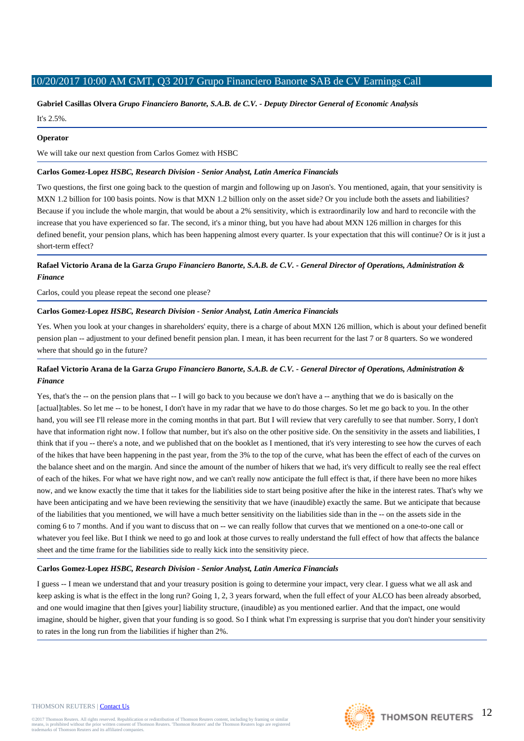# **Gabriel Casillas Olvera** *Grupo Financiero Banorte, S.A.B. de C.V. - Deputy Director General of Economic Analysis*

It's 2.5%.

## **Operator**

We will take our next question from Carlos Gomez with HSBC

## **Carlos Gomez-Lopez** *HSBC, Research Division - Senior Analyst, Latin America Financials*

Two questions, the first one going back to the question of margin and following up on Jason's. You mentioned, again, that your sensitivity is MXN 1.2 billion for 100 basis points. Now is that MXN 1.2 billion only on the asset side? Or you include both the assets and liabilities? Because if you include the whole margin, that would be about a 2% sensitivity, which is extraordinarily low and hard to reconcile with the increase that you have experienced so far. The second, it's a minor thing, but you have had about MXN 126 million in charges for this defined benefit, your pension plans, which has been happening almost every quarter. Is your expectation that this will continue? Or is it just a short-term effect?

# **Rafael Victorio Arana de la Garza** *Grupo Financiero Banorte, S.A.B. de C.V. - General Director of Operations, Administration & Finance*

Carlos, could you please repeat the second one please?

# **Carlos Gomez-Lopez** *HSBC, Research Division - Senior Analyst, Latin America Financials*

Yes. When you look at your changes in shareholders' equity, there is a charge of about MXN 126 million, which is about your defined benefit pension plan -- adjustment to your defined benefit pension plan. I mean, it has been recurrent for the last 7 or 8 quarters. So we wondered where that should go in the future?

# **Rafael Victorio Arana de la Garza** *Grupo Financiero Banorte, S.A.B. de C.V. - General Director of Operations, Administration & Finance*

Yes, that's the -- on the pension plans that -- I will go back to you because we don't have a -- anything that we do is basically on the [actual]tables. So let me -- to be honest, I don't have in my radar that we have to do those charges. So let me go back to you. In the other hand, you will see I'll release more in the coming months in that part. But I will review that very carefully to see that number. Sorry, I don't have that information right now. I follow that number, but it's also on the other positive side. On the sensitivity in the assets and liabilities, I think that if you -- there's a note, and we published that on the booklet as I mentioned, that it's very interesting to see how the curves of each of the hikes that have been happening in the past year, from the 3% to the top of the curve, what has been the effect of each of the curves on the balance sheet and on the margin. And since the amount of the number of hikers that we had, it's very difficult to really see the real effect of each of the hikes. For what we have right now, and we can't really now anticipate the full effect is that, if there have been no more hikes now, and we know exactly the time that it takes for the liabilities side to start being positive after the hike in the interest rates. That's why we have been anticipating and we have been reviewing the sensitivity that we have (inaudible) exactly the same. But we anticipate that because of the liabilities that you mentioned, we will have a much better sensitivity on the liabilities side than in the -- on the assets side in the coming 6 to 7 months. And if you want to discuss that on -- we can really follow that curves that we mentioned on a one-to-one call or whatever you feel like. But I think we need to go and look at those curves to really understand the full effect of how that affects the balance sheet and the time frame for the liabilities side to really kick into the sensitivity piece.

# **Carlos Gomez-Lopez** *HSBC, Research Division - Senior Analyst, Latin America Financials*

I guess -- I mean we understand that and your treasury position is going to determine your impact, very clear. I guess what we all ask and keep asking is what is the effect in the long run? Going 1, 2, 3 years forward, when the full effect of your ALCO has been already absorbed, and one would imagine that then [gives your] liability structure, (inaudible) as you mentioned earlier. And that the impact, one would imagine, should be higher, given that your funding is so good. So I think what I'm expressing is surprise that you don't hinder your sensitivity to rates in the long run from the liabilities if higher than 2%.

#### THOMSON REUTERS | [Contact Us](http://financial.thomsonreuters.com/en/contact-us.html)

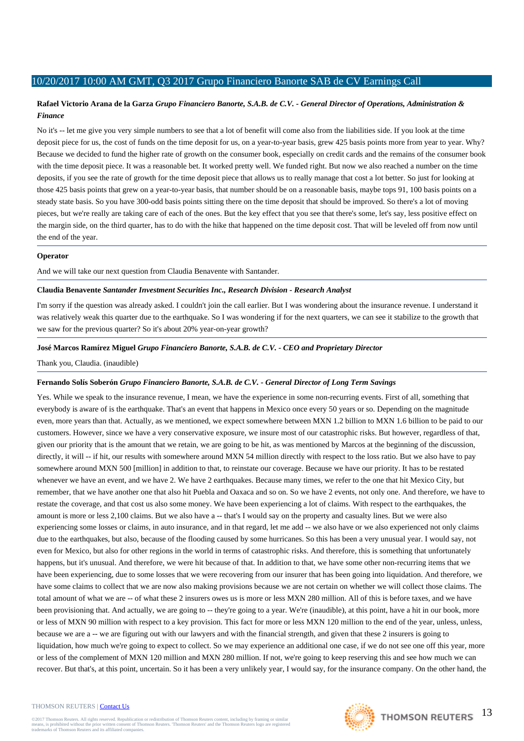# **Rafael Victorio Arana de la Garza** *Grupo Financiero Banorte, S.A.B. de C.V. - General Director of Operations, Administration & Finance*

No it's -- let me give you very simple numbers to see that a lot of benefit will come also from the liabilities side. If you look at the time deposit piece for us, the cost of funds on the time deposit for us, on a year-to-year basis, grew 425 basis points more from year to year. Why? Because we decided to fund the higher rate of growth on the consumer book, especially on credit cards and the remains of the consumer book with the time deposit piece. It was a reasonable bet. It worked pretty well. We funded right. But now we also reached a number on the time deposits, if you see the rate of growth for the time deposit piece that allows us to really manage that cost a lot better. So just for looking at those 425 basis points that grew on a year-to-year basis, that number should be on a reasonable basis, maybe tops 91, 100 basis points on a steady state basis. So you have 300-odd basis points sitting there on the time deposit that should be improved. So there's a lot of moving pieces, but we're really are taking care of each of the ones. But the key effect that you see that there's some, let's say, less positive effect on the margin side, on the third quarter, has to do with the hike that happened on the time deposit cost. That will be leveled off from now until the end of the year.

#### **Operator**

And we will take our next question from Claudia Benavente with Santander.

## **Claudia Benavente** *Santander Investment Securities Inc., Research Division - Research Analyst*

I'm sorry if the question was already asked. I couldn't join the call earlier. But I was wondering about the insurance revenue. I understand it was relatively weak this quarter due to the earthquake. So I was wondering if for the next quarters, we can see it stabilize to the growth that we saw for the previous quarter? So it's about 20% year-on-year growth?

## **José Marcos Ramírez Miguel** *Grupo Financiero Banorte, S.A.B. de C.V. - CEO and Proprietary Director*

Thank you, Claudia. (inaudible)

#### **Fernando Solís Soberón** *Grupo Financiero Banorte, S.A.B. de C.V. - General Director of Long Term Savings*

Yes. While we speak to the insurance revenue, I mean, we have the experience in some non-recurring events. First of all, something that everybody is aware of is the earthquake. That's an event that happens in Mexico once every 50 years or so. Depending on the magnitude even, more years than that. Actually, as we mentioned, we expect somewhere between MXN 1.2 billion to MXN 1.6 billion to be paid to our customers. However, since we have a very conservative exposure, we insure most of our catastrophic risks. But however, regardless of that, given our priority that is the amount that we retain, we are going to be hit, as was mentioned by Marcos at the beginning of the discussion, directly, it will -- if hit, our results with somewhere around MXN 54 million directly with respect to the loss ratio. But we also have to pay somewhere around MXN 500 [million] in addition to that, to reinstate our coverage. Because we have our priority. It has to be restated whenever we have an event, and we have 2. We have 2 earthquakes. Because many times, we refer to the one that hit Mexico City, but remember, that we have another one that also hit Puebla and Oaxaca and so on. So we have 2 events, not only one. And therefore, we have to restate the coverage, and that cost us also some money. We have been experiencing a lot of claims. With respect to the earthquakes, the amount is more or less 2,100 claims. But we also have a -- that's I would say on the property and casualty lines. But we were also experiencing some losses or claims, in auto insurance, and in that regard, let me add -- we also have or we also experienced not only claims due to the earthquakes, but also, because of the flooding caused by some hurricanes. So this has been a very unusual year. I would say, not even for Mexico, but also for other regions in the world in terms of catastrophic risks. And therefore, this is something that unfortunately happens, but it's unusual. And therefore, we were hit because of that. In addition to that, we have some other non-recurring items that we have been experiencing, due to some losses that we were recovering from our insurer that has been going into liquidation. And therefore, we have some claims to collect that we are now also making provisions because we are not certain on whether we will collect those claims. The total amount of what we are -- of what these 2 insurers owes us is more or less MXN 280 million. All of this is before taxes, and we have been provisioning that. And actually, we are going to -- they're going to a year. We're (inaudible), at this point, have a hit in our book, more or less of MXN 90 million with respect to a key provision. This fact for more or less MXN 120 million to the end of the year, unless, unless, because we are a -- we are figuring out with our lawyers and with the financial strength, and given that these 2 insurers is going to liquidation, how much we're going to expect to collect. So we may experience an additional one case, if we do not see one off this year, more or less of the complement of MXN 120 million and MXN 280 million. If not, we're going to keep reserving this and see how much we can recover. But that's, at this point, uncertain. So it has been a very unlikely year, I would say, for the insurance company. On the other hand, the

#### THOMSON REUTERS | [Contact Us](http://financial.thomsonreuters.com/en/contact-us.html)

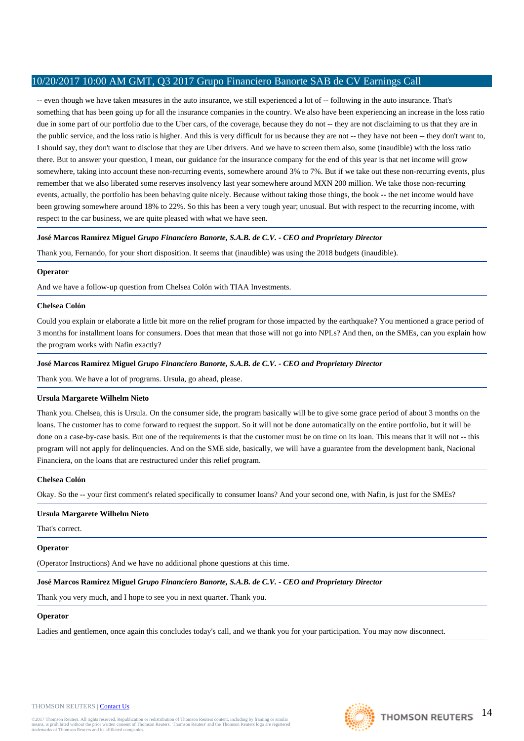-- even though we have taken measures in the auto insurance, we still experienced a lot of -- following in the auto insurance. That's something that has been going up for all the insurance companies in the country. We also have been experiencing an increase in the loss ratio due in some part of our portfolio due to the Uber cars, of the coverage, because they do not -- they are not disclaiming to us that they are in the public service, and the loss ratio is higher. And this is very difficult for us because they are not -- they have not been -- they don't want to, I should say, they don't want to disclose that they are Uber drivers. And we have to screen them also, some (inaudible) with the loss ratio there. But to answer your question, I mean, our guidance for the insurance company for the end of this year is that net income will grow somewhere, taking into account these non-recurring events, somewhere around 3% to 7%. But if we take out these non-recurring events, plus remember that we also liberated some reserves insolvency last year somewhere around MXN 200 million. We take those non-recurring events, actually, the portfolio has been behaving quite nicely. Because without taking those things, the book -- the net income would have been growing somewhere around 18% to 22%. So this has been a very tough year; unusual. But with respect to the recurring income, with respect to the car business, we are quite pleased with what we have seen.

# **José Marcos Ramírez Miguel** *Grupo Financiero Banorte, S.A.B. de C.V. - CEO and Proprietary Director*

Thank you, Fernando, for your short disposition. It seems that (inaudible) was using the 2018 budgets (inaudible).

# **Operator**

And we have a follow-up question from Chelsea Colón with TIAA Investments.

## **Chelsea Colón**

Could you explain or elaborate a little bit more on the relief program for those impacted by the earthquake? You mentioned a grace period of 3 months for installment loans for consumers. Does that mean that those will not go into NPLs? And then, on the SMEs, can you explain how the program works with Nafin exactly?

# **José Marcos Ramírez Miguel** *Grupo Financiero Banorte, S.A.B. de C.V. - CEO and Proprietary Director*

Thank you. We have a lot of programs. Ursula, go ahead, please.

# **Ursula Margarete Wilhelm Nieto**

Thank you. Chelsea, this is Ursula. On the consumer side, the program basically will be to give some grace period of about 3 months on the loans. The customer has to come forward to request the support. So it will not be done automatically on the entire portfolio, but it will be done on a case-by-case basis. But one of the requirements is that the customer must be on time on its loan. This means that it will not -- this program will not apply for delinquencies. And on the SME side, basically, we will have a guarantee from the development bank, Nacional Financiera, on the loans that are restructured under this relief program.

# **Chelsea Colón**

Okay. So the -- your first comment's related specifically to consumer loans? And your second one, with Nafin, is just for the SMEs?

# **Ursula Margarete Wilhelm Nieto**

That's correct.

# **Operator**

(Operator Instructions) And we have no additional phone questions at this time.

# **José Marcos Ramírez Miguel** *Grupo Financiero Banorte, S.A.B. de C.V. - CEO and Proprietary Director*

Thank you very much, and I hope to see you in next quarter. Thank you.

# **Operator**

Ladies and gentlemen, once again this concludes today's call, and we thank you for your participation. You may now disconnect.